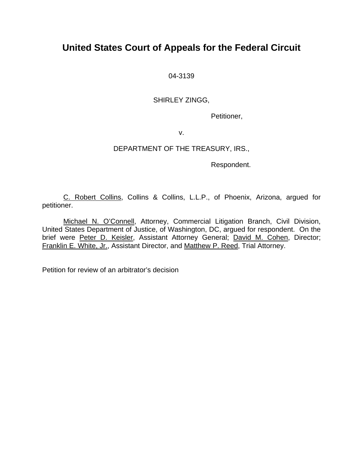## **United States Court of Appeals for the Federal Circuit**

04-3139

### SHIRLEY ZINGG,

Petitioner,

v.

## DEPARTMENT OF THE TREASURY, IRS.,

Respondent.

C. Robert Collins, Collins & Collins, L.L.P., of Phoenix, Arizona, argued for petitioner.

Michael N. O'Connell, Attorney, Commercial Litigation Branch, Civil Division, United States Department of Justice, of Washington, DC, argued for respondent. On the brief were Peter D. Keisler, Assistant Attorney General; David M. Cohen, Director; Franklin E. White, Jr., Assistant Director, and Matthew P. Reed, Trial Attorney.

Petition for review of an arbitrator's decision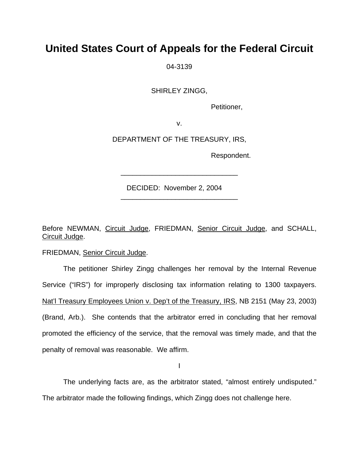# **United States Court of Appeals for the Federal Circuit**

04-3139

SHIRLEY ZINGG,

Petitioner,

v.

DEPARTMENT OF THE TREASURY, IRS,

\_\_\_\_\_\_\_\_\_\_\_\_\_\_\_\_\_\_\_\_\_\_\_\_\_\_\_\_\_\_

\_\_\_\_\_\_\_\_\_\_\_\_\_\_\_\_\_\_\_\_\_\_\_\_\_\_\_\_\_\_

Respondent.

DECIDED: November 2, 2004

Before NEWMAN, Circuit Judge, FRIEDMAN, Senior Circuit Judge, and SCHALL, Circuit Judge.

FRIEDMAN, Senior Circuit Judge.

 The petitioner Shirley Zingg challenges her removal by the Internal Revenue Service ("IRS") for improperly disclosing tax information relating to 1300 taxpayers. Nat'l Treasury Employees Union v. Dep't of the Treasury, IRS, NB 2151 (May 23, 2003) (Brand, Arb.). She contends that the arbitrator erred in concluding that her removal promoted the efficiency of the service, that the removal was timely made, and that the penalty of removal was reasonable. We affirm.

I

The underlying facts are, as the arbitrator stated, "almost entirely undisputed."

The arbitrator made the following findings, which Zingg does not challenge here.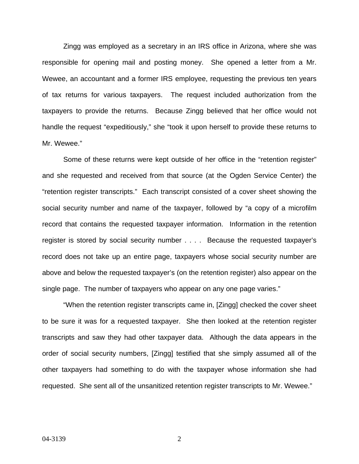Zingg was employed as a secretary in an IRS office in Arizona, where she was responsible for opening mail and posting money. She opened a letter from a Mr. Wewee, an accountant and a former IRS employee, requesting the previous ten years of tax returns for various taxpayers. The request included authorization from the taxpayers to provide the returns. Because Zingg believed that her office would not handle the request "expeditiously," she "took it upon herself to provide these returns to Mr. Wewee."

Some of these returns were kept outside of her office in the "retention register" and she requested and received from that source (at the Ogden Service Center) the "retention register transcripts." Each transcript consisted of a cover sheet showing the social security number and name of the taxpayer, followed by "a copy of a microfilm record that contains the requested taxpayer information. Information in the retention register is stored by social security number . . . . Because the requested taxpayer's record does not take up an entire page, taxpayers whose social security number are above and below the requested taxpayer's (on the retention register) also appear on the single page. The number of taxpayers who appear on any one page varies."

"When the retention register transcripts came in, [Zingg] checked the cover sheet to be sure it was for a requested taxpayer. She then looked at the retention register transcripts and saw they had other taxpayer data. Although the data appears in the order of social security numbers, [Zingg] testified that she simply assumed all of the other taxpayers had something to do with the taxpayer whose information she had requested. She sent all of the unsanitized retention register transcripts to Mr. Wewee."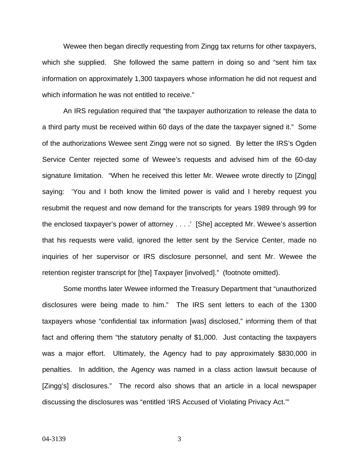Wewee then began directly requesting from Zingg tax returns for other taxpayers, which she supplied. She followed the same pattern in doing so and "sent him tax information on approximately 1,300 taxpayers whose information he did not request and which information he was not entitled to receive."

An IRS regulation required that "the taxpayer authorization to release the data to a third party must be received within 60 days of the date the taxpayer signed it." Some of the authorizations Wewee sent Zingg were not so signed. By letter the IRS's Ogden Service Center rejected some of Wewee's requests and advised him of the 60-day signature limitation. "When he received this letter Mr. Wewee wrote directly to [Zingg] saying: 'You and I both know the limited power is valid and I hereby request you resubmit the request and now demand for the transcripts for years 1989 through 99 for the enclosed taxpayer's power of attorney . . . .' [She] accepted Mr. Wewee's assertion that his requests were valid, ignored the letter sent by the Service Center, made no inquiries of her supervisor or IRS disclosure personnel, and sent Mr. Wewee the retention register transcript for [the] Taxpayer [involved]." (footnote omitted).

Some months later Wewee informed the Treasury Department that "unauthorized disclosures were being made to him." The IRS sent letters to each of the 1300 taxpayers whose "confidential tax information [was] disclosed," informing them of that fact and offering them "the statutory penalty of \$1,000. Just contacting the taxpayers was a major effort. Ultimately, the Agency had to pay approximately \$830,000 in penalties. In addition, the Agency was named in a class action lawsuit because of [Zingg's] disclosures." The record also shows that an article in a local newspaper discussing the disclosures was "entitled 'IRS Accused of Violating Privacy Act.'"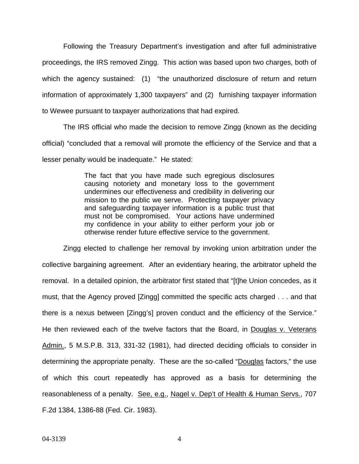Following the Treasury Department's investigation and after full administrative proceedings, the IRS removed Zingg. This action was based upon two charges, both of which the agency sustained: (1) "the unauthorized disclosure of return and return information of approximately 1,300 taxpayers" and (2) furnishing taxpayer information to Wewee pursuant to taxpayer authorizations that had expired.

The IRS official who made the decision to remove Zingg (known as the deciding official) "concluded that a removal will promote the efficiency of the Service and that a lesser penalty would be inadequate." He stated:

> The fact that you have made such egregious disclosures causing notoriety and monetary loss to the government undermines our effectiveness and credibility in delivering our mission to the public we serve. Protecting taxpayer privacy and safeguarding taxpayer information is a public trust that must not be compromised. Your actions have undermined my confidence in your ability to either perform your job or otherwise render future effective service to the government.

Zingg elected to challenge her removal by invoking union arbitration under the collective bargaining agreement. After an evidentiary hearing, the arbitrator upheld the removal. In a detailed opinion, the arbitrator first stated that "[t]he Union concedes, as it must, that the Agency proved [Zingg] committed the specific acts charged . . . and that there is a nexus between [Zingg's] proven conduct and the efficiency of the Service." He then reviewed each of the twelve factors that the Board, in Douglas v. Veterans Admin., 5 M.S.P.B. 313, 331-32 (1981), had directed deciding officials to consider in determining the appropriate penalty. These are the so-called "Douglas factors," the use of which this court repeatedly has approved as a basis for determining the reasonableness of a penalty. See, e.g., Nagel v. Dep't of Health & Human Servs., 707 F.2d 1384, 1386-88 (Fed. Cir. 1983).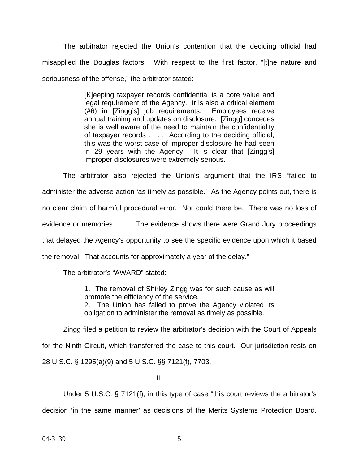The arbitrator rejected the Union's contention that the deciding official had misapplied the Douglas factors. With respect to the first factor, "[t]he nature and seriousness of the offense," the arbitrator stated:

> [K]eeping taxpayer records confidential is a core value and legal requirement of the Agency. It is also a critical element (#6) in [Zingg's] job requirements. Employees receive annual training and updates on disclosure. [Zingg] concedes she is well aware of the need to maintain the confidentiality of taxpayer records . . . . According to the deciding official, this was the worst case of improper disclosure he had seen in 29 years with the Agency. It is clear that [Zingg's] improper disclosures were extremely serious.

The arbitrator also rejected the Union's argument that the IRS "failed to administer the adverse action 'as timely as possible.' As the Agency points out, there is no clear claim of harmful procedural error. Nor could there be. There was no loss of evidence or memories . . . . The evidence shows there were Grand Jury proceedings that delayed the Agency's opportunity to see the specific evidence upon which it based the removal. That accounts for approximately a year of the delay."

The arbitrator's "AWARD" stated:

1. The removal of Shirley Zingg was for such cause as will promote the efficiency of the service. 2. The Union has failed to prove the Agency violated its obligation to administer the removal as timely as possible.

Zingg filed a petition to review the arbitrator's decision with the Court of Appeals for the Ninth Circuit, which transferred the case to this court. Our jurisdiction rests on 28 U.S.C. § 1295(a)(9) and 5 U.S.C. §§ 7121(f), 7703.

II

Under 5 U.S.C. § 7121(f), in this type of case "this court reviews the arbitrator's decision 'in the same manner' as decisions of the Merits Systems Protection Board.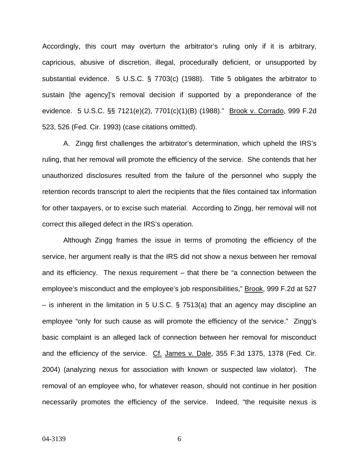Accordingly, this court may overturn the arbitrator's ruling only if it is arbitrary, capricious, abusive of discretion, illegal, procedurally deficient, or unsupported by substantial evidence. 5 U.S.C. § 7703(c) (1988). Title 5 obligates the arbitrator to sustain [the agency]'s removal decision if supported by a preponderance of the evidence. 5 U.S.C. §§ 7121(e)(2), 7701(c)(1)(B) (1988)." Brook v. Corrado, 999 F.2d 523, 526 (Fed. Cir. 1993) (case citations omitted).

A. Zingg first challenges the arbitrator's determination, which upheld the IRS's ruling, that her removal will promote the efficiency of the service. She contends that her unauthorized disclosures resulted from the failure of the personnel who supply the retention records transcript to alert the recipients that the files contained tax information for other taxpayers, or to excise such material. According to Zingg, her removal will not correct this alleged defect in the IRS's operation.

Although Zingg frames the issue in terms of promoting the efficiency of the service, her argument really is that the IRS did not show a nexus between her removal and its efficiency. The nexus requirement – that there be "a connection between the employee's misconduct and the employee's job responsibilities," Brook, 999 F.2d at 527 – is inherent in the limitation in 5 U.S.C. § 7513(a) that an agency may discipline an employee "only for such cause as will promote the efficiency of the service." Zingg's basic complaint is an alleged lack of connection between her removal for misconduct and the efficiency of the service. Cf. James v. Dale, 355 F.3d 1375, 1378 (Fed. Cir. 2004) (analyzing nexus for association with known or suspected law violator). The removal of an employee who, for whatever reason, should not continue in her position necessarily promotes the efficiency of the service. Indeed, "the requisite nexus is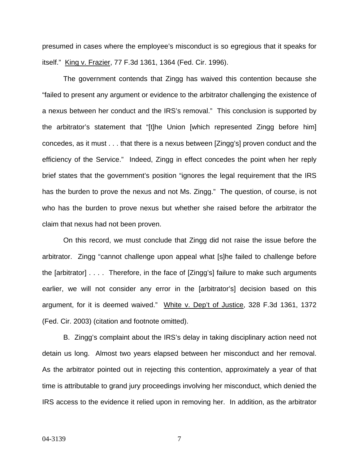presumed in cases where the employee's misconduct is so egregious that it speaks for itself." King v. Frazier, 77 F.3d 1361, 1364 (Fed. Cir. 1996).

The government contends that Zingg has waived this contention because she "failed to present any argument or evidence to the arbitrator challenging the existence of a nexus between her conduct and the IRS's removal." This conclusion is supported by the arbitrator's statement that "[t]he Union [which represented Zingg before him] concedes, as it must . . . that there is a nexus between [Zingg's] proven conduct and the efficiency of the Service." Indeed, Zingg in effect concedes the point when her reply brief states that the government's position "ignores the legal requirement that the IRS has the burden to prove the nexus and not Ms. Zingg." The question, of course, is not who has the burden to prove nexus but whether she raised before the arbitrator the claim that nexus had not been proven.

On this record, we must conclude that Zingg did not raise the issue before the arbitrator. Zingg "cannot challenge upon appeal what [s]he failed to challenge before the [arbitrator] . . . . Therefore, in the face of [Zingg's] failure to make such arguments earlier, we will not consider any error in the [arbitrator's] decision based on this argument, for it is deemed waived." White v. Dep't of Justice, 328 F.3d 1361, 1372 (Fed. Cir. 2003) (citation and footnote omitted).

B. Zingg's complaint about the IRS's delay in taking disciplinary action need not detain us long. Almost two years elapsed between her misconduct and her removal. As the arbitrator pointed out in rejecting this contention, approximately a year of that time is attributable to grand jury proceedings involving her misconduct, which denied the IRS access to the evidence it relied upon in removing her. In addition, as the arbitrator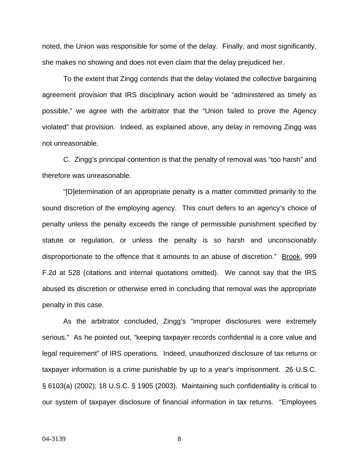noted, the Union was responsible for some of the delay. Finally, and most significantly, she makes no showing and does not even claim that the delay prejudiced her.

To the extent that Zingg contends that the delay violated the collective bargaining agreement provision that IRS disciplinary action would be "administered as timely as possible," we agree with the arbitrator that the "Union failed to prove the Agency violated" that provision. Indeed, as explained above, any delay in removing Zingg was not unreasonable.

C. Zingg's principal contention is that the penalty of removal was "too harsh" and therefore was unreasonable.

"[D]etermination of an appropriate penalty is a matter committed primarily to the sound discretion of the employing agency. This court defers to an agency's choice of penalty unless the penalty exceeds the range of permissible punishment specified by statute or regulation, or unless the penalty is so harsh and unconscionably disproportionate to the offence that it amounts to an abuse of discretion." Brook, 999 F.2d at 528 (citations and internal quotations omitted). We cannot say that the IRS abused its discretion or otherwise erred in concluding that removal was the appropriate penalty in this case.

As the arbitrator concluded, Zingg's "improper disclosures were extremely serious." As he pointed out, "keeping taxpayer records confidential is a core value and legal requirement" of IRS operations. Indeed, unauthorized disclosure of tax returns or taxpayer information is a crime punishable by up to a year's imprisonment. 26 U.S.C. § 6103(a) (2002); 18 U.S.C. § 1905 (2003). Maintaining such confidentiality is critical to our system of taxpayer disclosure of financial information in tax returns. "Employees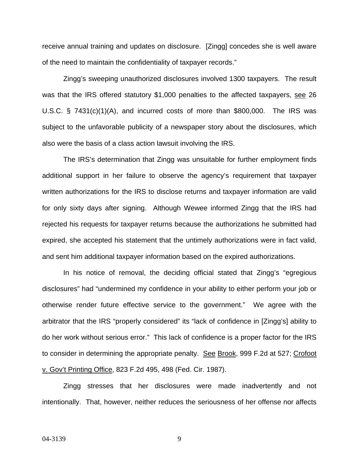receive annual training and updates on disclosure. [Zingg] concedes she is well aware of the need to maintain the confidentiality of taxpayer records."

Zingg's sweeping unauthorized disclosures involved 1300 taxpayers. The result was that the IRS offered statutory \$1,000 penalties to the affected taxpayers, see 26 U.S.C. § 7431(c)(1)(A), and incurred costs of more than \$800,000. The IRS was subject to the unfavorable publicity of a newspaper story about the disclosures, which also were the basis of a class action lawsuit involving the IRS.

The IRS's determination that Zingg was unsuitable for further employment finds additional support in her failure to observe the agency's requirement that taxpayer written authorizations for the IRS to disclose returns and taxpayer information are valid for only sixty days after signing. Although Wewee informed Zingg that the IRS had rejected his requests for taxpayer returns because the authorizations he submitted had expired, she accepted his statement that the untimely authorizations were in fact valid, and sent him additional taxpayer information based on the expired authorizations.

In his notice of removal, the deciding official stated that Zingg's "egregious disclosures" had "undermined my confidence in your ability to either perform your job or otherwise render future effective service to the government." We agree with the arbitrator that the IRS "properly considered" its "lack of confidence in [Zingg's] ability to do her work without serious error." This lack of confidence is a proper factor for the IRS to consider in determining the appropriate penalty. See Brook, 999 F.2d at 527; Crofoot v. Gov't Printing Office, 823 F.2d 495, 498 (Fed. Cir. 1987).

Zingg stresses that her disclosures were made inadvertently and not intentionally. That, however, neither reduces the seriousness of her offense nor affects